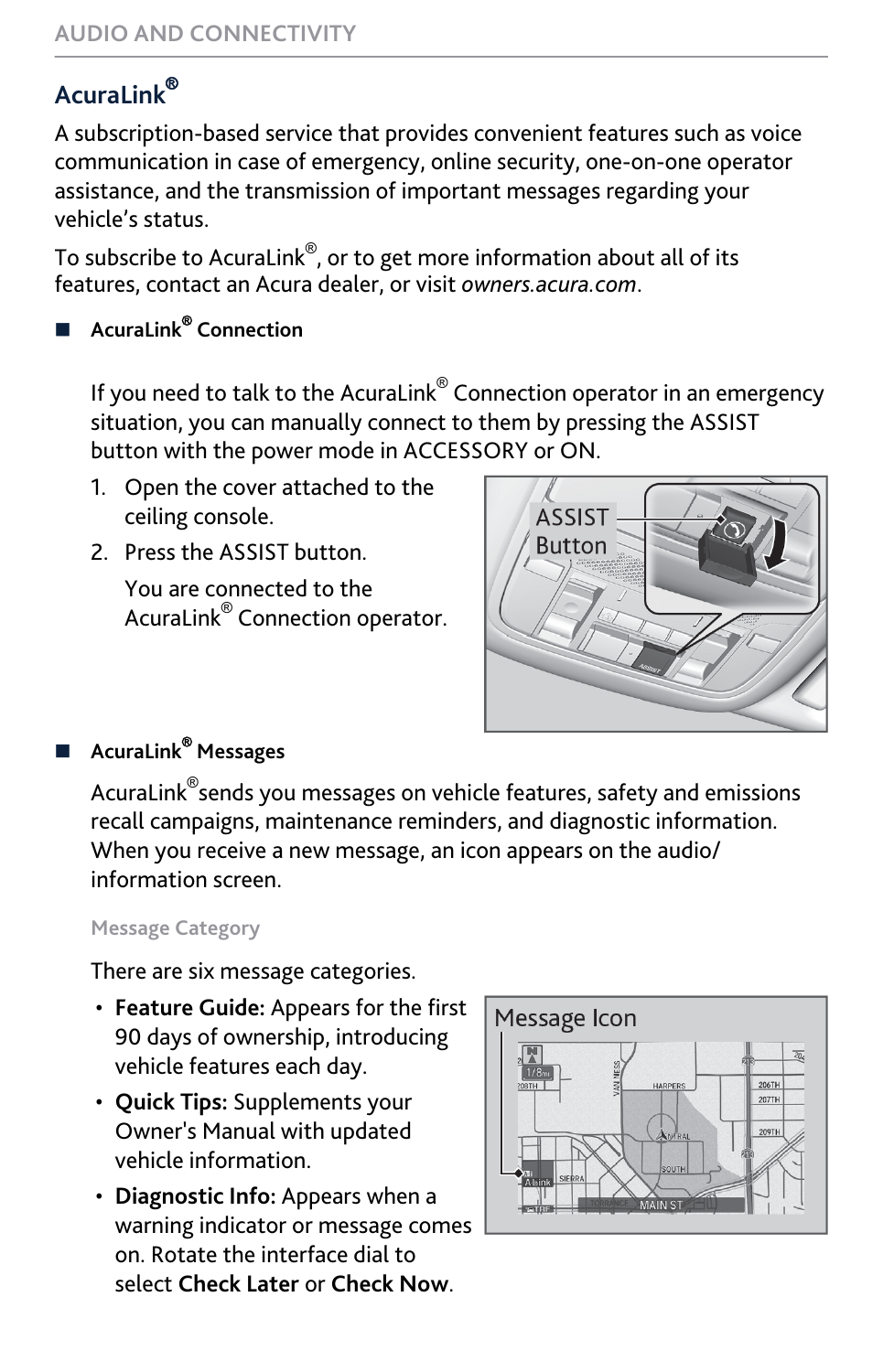## Acural ink<sup>®</sup>

A subscription-based service that provides convenient features such as voice communication in case of emergency, online security, one-on-one operator assistance, and the transmission of important messages regarding your vehicle's status.

To subscribe to AcuraLink $^\circledast$ , or to get more information about all of its features, contact an Acura dealer, or visit *[owners.acura.com](https://owners.acura.com/)*.

## ■ AcuraLink<sup>®</sup> Connection

If you need to talk to the AcuraLink $^\circ$  Connection operator in an emergency situation, you can manually connect to them by pressing the ASSIST button with the power mode in ACCESSORY or ON.

- 1. Open the cover attached to the ceiling console.
- 2. Press the ASSIST button.

You are connected to the AcuraLink® Connection operator.



## ■ AcuraLink® Messages

AcuraLink® sends you messages on vehicle features, safety and emissions recall campaigns, maintenance reminders, and diagnostic information. When you receive a new message, an icon appears on the audio/ information screen.

## **Message Category**

There are six message categories.

- **Feature Guide:** Appears for the first 90 days of ownership, introducing vehicle features each day.
- **Quick Tips:** Supplements your Owner's Manual with updated vehicle information.
- **Diagnostic Info:** Appears when a warning indicator or message comes on. Rotate the interface dial to select **Check Later** or **Check Now**.